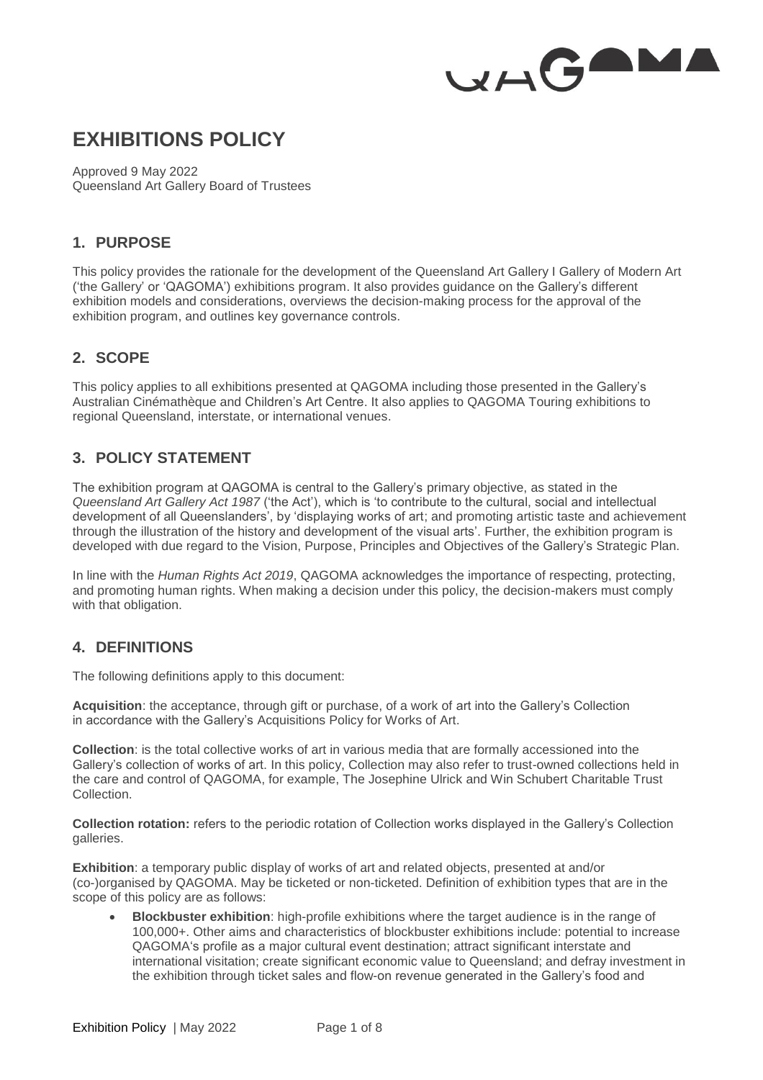

# **EXHIBITIONS POLICY**

Approved 9 May 2022 Queensland Art Gallery Board of Trustees

## **1. PURPOSE**

This policy provides the rationale for the development of the Queensland Art Gallery I Gallery of Modern Art ('the Gallery' or 'QAGOMA') exhibitions program. It also provides guidance on the Gallery's different exhibition models and considerations, overviews the decision-making process for the approval of the exhibition program, and outlines key governance controls.

# **2. SCOPE**

This policy applies to all exhibitions presented at QAGOMA including those presented in the Gallery's Australian Cinémathèque and Children's Art Centre. It also applies to QAGOMA Touring exhibitions to regional Queensland, interstate, or international venues.

# **3. POLICY STATEMENT**

The exhibition program at QAGOMA is central to the Gallery's primary objective, as stated in the *Queensland Art Gallery Act 1987* ('the Act'), which is 'to contribute to the cultural, social and intellectual development of all Queenslanders', by 'displaying works of art; and promoting artistic taste and achievement through the illustration of the history and development of the visual arts'. Further, the exhibition program is developed with due regard to the Vision, Purpose, Principles and Objectives of the Gallery's Strategic Plan.

In line with the *Human Rights Act 2019*, QAGOMA acknowledges the importance of respecting, protecting, and promoting human rights. When making a decision under this policy, the decision-makers must comply with that obligation.

## **4. DEFINITIONS**

The following definitions apply to this document:

**Acquisition**: the acceptance, through gift or purchase, of a work of art into the Gallery's Collection in accordance with the Gallery's Acquisitions Policy for Works of Art.

**Collection**: is the total collective works of art in various media that are formally accessioned into the Gallery's collection of works of art. In this policy, Collection may also refer to trust-owned collections held in the care and control of QAGOMA, for example, The Josephine Ulrick and Win Schubert Charitable Trust Collection.

**Collection rotation:** refers to the periodic rotation of Collection works displayed in the Gallery's Collection galleries.

**Exhibition**: a temporary public display of works of art and related objects, presented at and/or (co-)organised by QAGOMA. May be ticketed or non-ticketed. Definition of exhibition types that are in the scope of this policy are as follows:

 **Blockbuster exhibition**: high-profile exhibitions where the target audience is in the range of 100,000+. Other aims and characteristics of blockbuster exhibitions include: potential to increase QAGOMA's profile as a major cultural event destination; attract significant interstate and international visitation; create significant economic value to Queensland; and defray investment in the exhibition through ticket sales and flow-on revenue generated in the Gallery's food and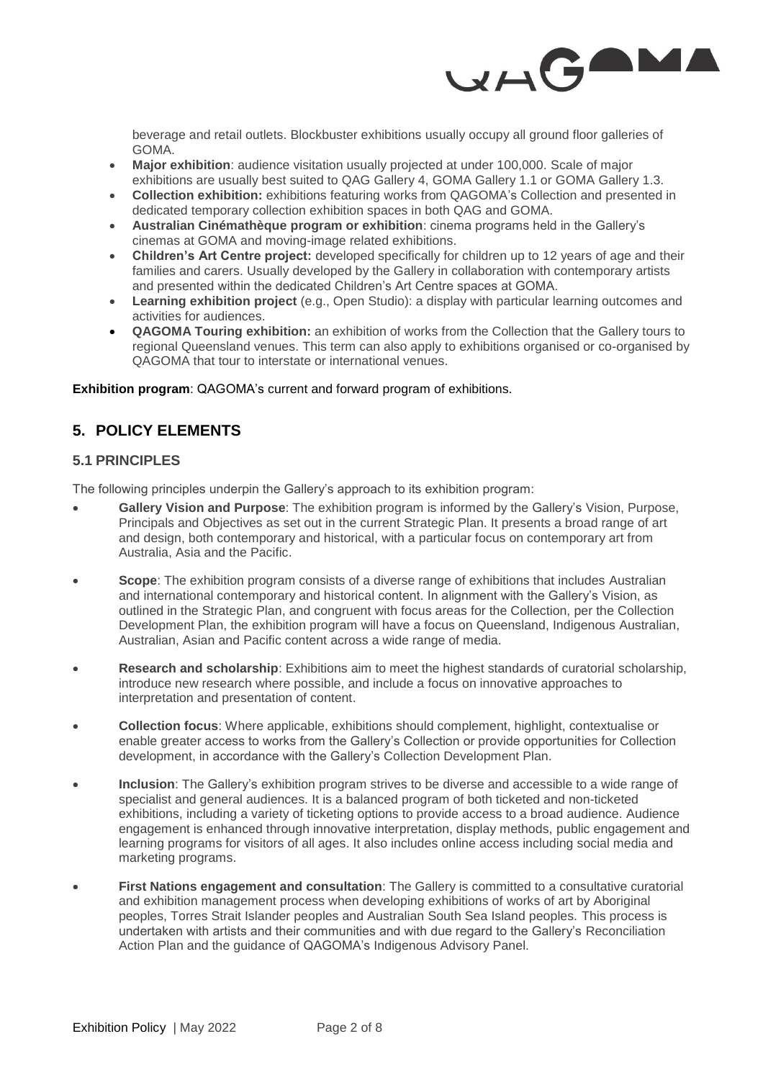

beverage and retail outlets. Blockbuster exhibitions usually occupy all ground floor galleries of GOMA.

- **Major exhibition**: audience visitation usually projected at under 100,000. Scale of major exhibitions are usually best suited to QAG Gallery 4, GOMA Gallery 1.1 or GOMA Gallery 1.3.
- **Collection exhibition:** exhibitions featuring works from QAGOMA's Collection and presented in dedicated temporary collection exhibition spaces in both QAG and GOMA.
- **Australian Cinémathèque program or exhibition**: cinema programs held in the Gallery's cinemas at GOMA and moving-image related exhibitions.
- **Children's Art Centre project:** developed specifically for children up to 12 years of age and their families and carers. Usually developed by the Gallery in collaboration with contemporary artists and presented within the dedicated Children's Art Centre spaces at GOMA.
- **Learning exhibition project** (e.g., Open Studio): a display with particular learning outcomes and activities for audiences.
- **QAGOMA Touring exhibition:** an exhibition of works from the Collection that the Gallery tours to regional Queensland venues. This term can also apply to exhibitions organised or co-organised by QAGOMA that tour to interstate or international venues.

**Exhibition program**: QAGOMA's current and forward program of exhibitions.

# **5. POLICY ELEMENTS**

## **5.1 PRINCIPLES**

The following principles underpin the Gallery's approach to its exhibition program:

- **Gallery Vision and Purpose**: The exhibition program is informed by the Gallery's Vision, Purpose, Principals and Objectives as set out in the current Strategic Plan. It presents a broad range of art and design, both contemporary and historical, with a particular focus on contemporary art from Australia, Asia and the Pacific.
- **Scope**: The exhibition program consists of a diverse range of exhibitions that includes Australian and international contemporary and historical content. In alignment with the Gallery's Vision, as outlined in the Strategic Plan, and congruent with focus areas for the Collection, per the Collection Development Plan, the exhibition program will have a focus on Queensland, Indigenous Australian, Australian, Asian and Pacific content across a wide range of media.
- **Research and scholarship**: Exhibitions aim to meet the highest standards of curatorial scholarship, introduce new research where possible, and include a focus on innovative approaches to interpretation and presentation of content.
- **Collection focus**: Where applicable, exhibitions should complement, highlight, contextualise or enable greater access to works from the Gallery's Collection or provide opportunities for Collection development, in accordance with the Gallery's Collection Development Plan.
- **Inclusion**: The Gallery's exhibition program strives to be diverse and accessible to a wide range of specialist and general audiences. It is a balanced program of both ticketed and non-ticketed exhibitions, including a variety of ticketing options to provide access to a broad audience. Audience engagement is enhanced through innovative interpretation, display methods, public engagement and learning programs for visitors of all ages. It also includes online access including social media and marketing programs.
- **First Nations engagement and consultation**: The Gallery is committed to a consultative curatorial and exhibition management process when developing exhibitions of works of art by Aboriginal peoples, Torres Strait Islander peoples and Australian South Sea Island peoples. This process is undertaken with artists and their communities and with due regard to the Gallery's Reconciliation Action Plan and the guidance of QAGOMA's Indigenous Advisory Panel.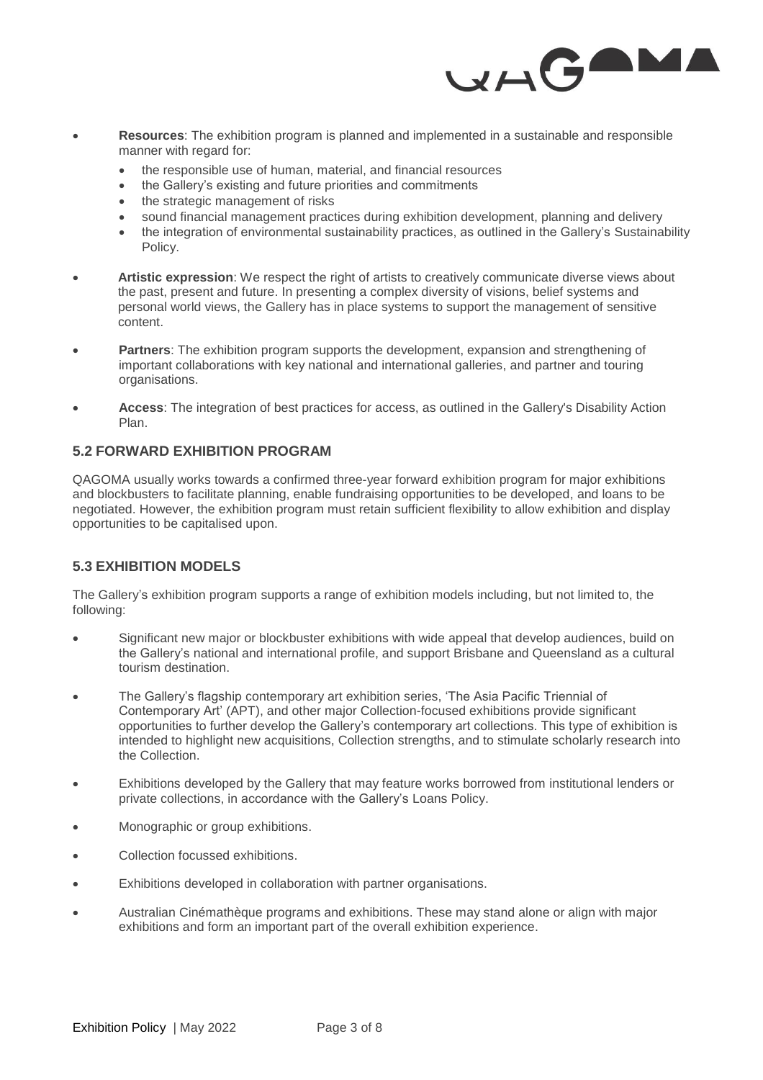

- **Resources**: The exhibition program is planned and implemented in a sustainable and responsible manner with regard for:
	- the responsible use of human, material, and financial resources
	- the Gallery's existing and future priorities and commitments
	- the strategic management of risks
	- sound financial management practices during exhibition development, planning and delivery
	- the integration of environmental sustainability practices, as outlined in the Gallery's Sustainability Policy.
- **Artistic expression**: We respect the right of artists to creatively communicate diverse views about the past, present and future. In presenting a complex diversity of visions, belief systems and personal world views, the Gallery has in place systems to support the management of sensitive content.
- **Partners**: The exhibition program supports the development, expansion and strengthening of important collaborations with key national and international galleries, and partner and touring organisations.
- **Access**: The integration of best practices for access, as outlined in the Gallery's Disability Action Plan.

#### **5.2 FORWARD EXHIBITION PROGRAM**

QAGOMA usually works towards a confirmed three-year forward exhibition program for major exhibitions and blockbusters to facilitate planning, enable fundraising opportunities to be developed, and loans to be negotiated. However, the exhibition program must retain sufficient flexibility to allow exhibition and display opportunities to be capitalised upon.

## **5.3 EXHIBITION MODELS**

The Gallery's exhibition program supports a range of exhibition models including, but not limited to, the following:

- Significant new major or blockbuster exhibitions with wide appeal that develop audiences, build on the Gallery's national and international profile, and support Brisbane and Queensland as a cultural tourism destination.
- The Gallery's flagship contemporary art exhibition series, 'The Asia Pacific Triennial of Contemporary Art' (APT), and other major Collection-focused exhibitions provide significant opportunities to further develop the Gallery's contemporary art collections. This type of exhibition is intended to highlight new acquisitions, Collection strengths, and to stimulate scholarly research into the Collection.
- Exhibitions developed by the Gallery that may feature works borrowed from institutional lenders or private collections, in accordance with the Gallery's Loans Policy.
- Monographic or group exhibitions.
- Collection focussed exhibitions.
- Exhibitions developed in collaboration with partner organisations.
- Australian Cinémathèque programs and exhibitions. These may stand alone or align with major exhibitions and form an important part of the overall exhibition experience.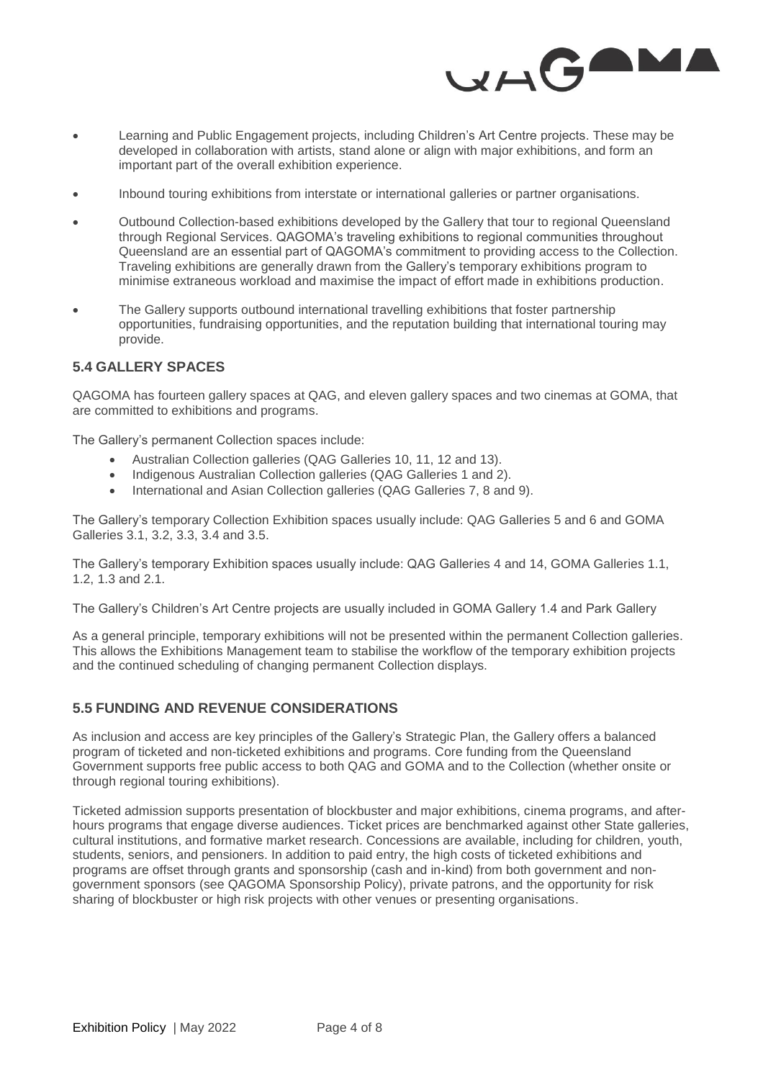

- Learning and Public Engagement projects, including Children's Art Centre projects. These may be developed in collaboration with artists, stand alone or align with major exhibitions, and form an important part of the overall exhibition experience.
- Inbound touring exhibitions from interstate or international galleries or partner organisations.
- Outbound Collection-based exhibitions developed by the Gallery that tour to regional Queensland through Regional Services. QAGOMA's traveling exhibitions to regional communities throughout Queensland are an essential part of QAGOMA's commitment to providing access to the Collection. Traveling exhibitions are generally drawn from the Gallery's temporary exhibitions program to minimise extraneous workload and maximise the impact of effort made in exhibitions production.
- The Gallery supports outbound international travelling exhibitions that foster partnership opportunities, fundraising opportunities, and the reputation building that international touring may provide.

#### **5.4 GALLERY SPACES**

QAGOMA has fourteen gallery spaces at QAG, and eleven gallery spaces and two cinemas at GOMA, that are committed to exhibitions and programs.

The Gallery's permanent Collection spaces include:

- Australian Collection galleries (QAG Galleries 10, 11, 12 and 13).
- Indigenous Australian Collection galleries (QAG Galleries 1 and 2).
- International and Asian Collection galleries (QAG Galleries 7, 8 and 9).

The Gallery's temporary Collection Exhibition spaces usually include: QAG Galleries 5 and 6 and GOMA Galleries 3.1, 3.2, 3.3, 3.4 and 3.5.

The Gallery's temporary Exhibition spaces usually include: QAG Galleries 4 and 14, GOMA Galleries 1.1, 1.2, 1.3 and 2.1.

The Gallery's Children's Art Centre projects are usually included in GOMA Gallery 1.4 and Park Gallery

As a general principle, temporary exhibitions will not be presented within the permanent Collection galleries. This allows the Exhibitions Management team to stabilise the workflow of the temporary exhibition projects and the continued scheduling of changing permanent Collection displays.

#### **5.5 FUNDING AND REVENUE CONSIDERATIONS**

As inclusion and access are key principles of the Gallery's Strategic Plan, the Gallery offers a balanced program of ticketed and non-ticketed exhibitions and programs. Core funding from the Queensland Government supports free public access to both QAG and GOMA and to the Collection (whether onsite or through regional touring exhibitions).

Ticketed admission supports presentation of blockbuster and major exhibitions, cinema programs, and afterhours programs that engage diverse audiences. Ticket prices are benchmarked against other State galleries, cultural institutions, and formative market research. Concessions are available, including for children, youth, students, seniors, and pensioners. In addition to paid entry, the high costs of ticketed exhibitions and programs are offset through grants and sponsorship (cash and in-kind) from both government and nongovernment sponsors (see QAGOMA Sponsorship Policy), private patrons, and the opportunity for risk sharing of blockbuster or high risk projects with other venues or presenting organisations.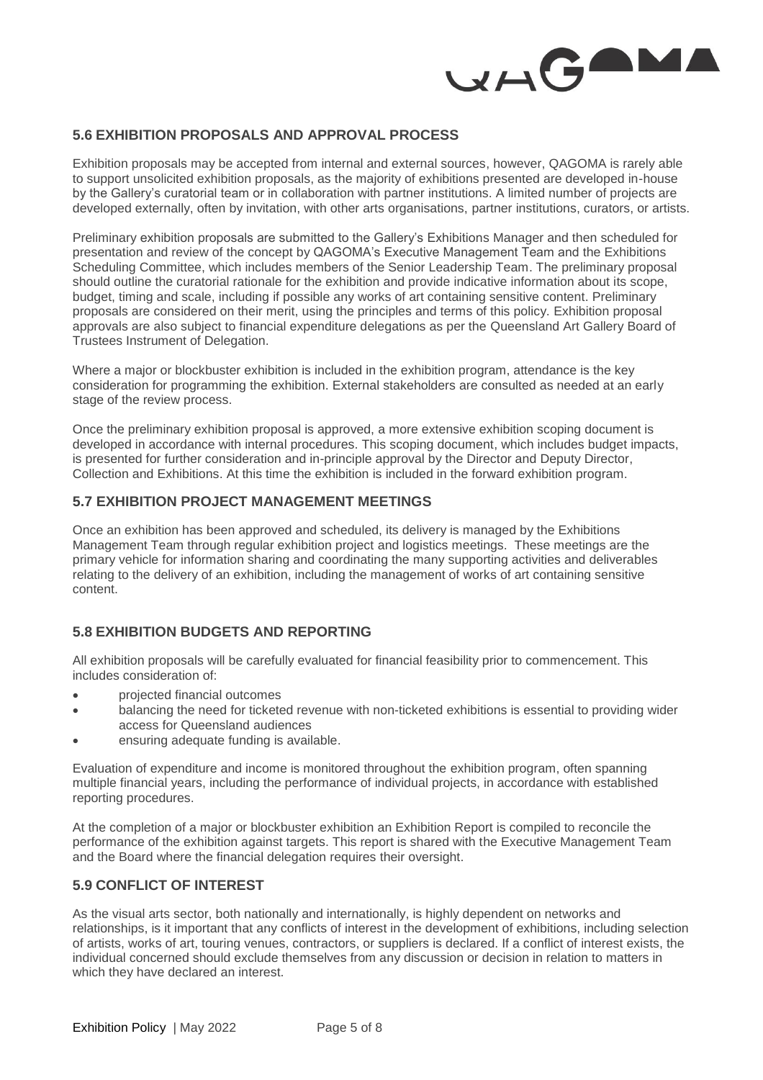

#### **5.6 EXHIBITION PROPOSALS AND APPROVAL PROCESS**

Exhibition proposals may be accepted from internal and external sources, however, QAGOMA is rarely able to support unsolicited exhibition proposals, as the majority of exhibitions presented are developed in-house by the Gallery's curatorial team or in collaboration with partner institutions. A limited number of projects are developed externally, often by invitation, with other arts organisations, partner institutions, curators, or artists.

Preliminary exhibition proposals are submitted to the Gallery's Exhibitions Manager and then scheduled for presentation and review of the concept by QAGOMA's Executive Management Team and the Exhibitions Scheduling Committee, which includes members of the Senior Leadership Team. The preliminary proposal should outline the curatorial rationale for the exhibition and provide indicative information about its scope, budget, timing and scale, including if possible any works of art containing sensitive content. Preliminary proposals are considered on their merit, using the principles and terms of this policy. Exhibition proposal approvals are also subject to financial expenditure delegations as per the Queensland Art Gallery Board of Trustees Instrument of Delegation.

Where a major or blockbuster exhibition is included in the exhibition program, attendance is the key consideration for programming the exhibition. External stakeholders are consulted as needed at an early stage of the review process.

Once the preliminary exhibition proposal is approved, a more extensive exhibition scoping document is developed in accordance with internal procedures. This scoping document, which includes budget impacts, is presented for further consideration and in-principle approval by the Director and Deputy Director, Collection and Exhibitions. At this time the exhibition is included in the forward exhibition program.

#### **5.7 EXHIBITION PROJECT MANAGEMENT MEETINGS**

Once an exhibition has been approved and scheduled, its delivery is managed by the Exhibitions Management Team through regular exhibition project and logistics meetings. These meetings are the primary vehicle for information sharing and coordinating the many supporting activities and deliverables relating to the delivery of an exhibition, including the management of works of art containing sensitive content.

## **5.8 EXHIBITION BUDGETS AND REPORTING**

All exhibition proposals will be carefully evaluated for financial feasibility prior to commencement. This includes consideration of:

- projected financial outcomes
- balancing the need for ticketed revenue with non-ticketed exhibitions is essential to providing wider access for Queensland audiences
- ensuring adequate funding is available.

Evaluation of expenditure and income is monitored throughout the exhibition program, often spanning multiple financial years, including the performance of individual projects, in accordance with established reporting procedures.

At the completion of a major or blockbuster exhibition an Exhibition Report is compiled to reconcile the performance of the exhibition against targets. This report is shared with the Executive Management Team and the Board where the financial delegation requires their oversight.

#### **5.9 CONFLICT OF INTEREST**

As the visual arts sector, both nationally and internationally, is highly dependent on networks and relationships, is it important that any conflicts of interest in the development of exhibitions, including selection of artists, works of art, touring venues, contractors, or suppliers is declared. If a conflict of interest exists, the individual concerned should exclude themselves from any discussion or decision in relation to matters in which they have declared an interest.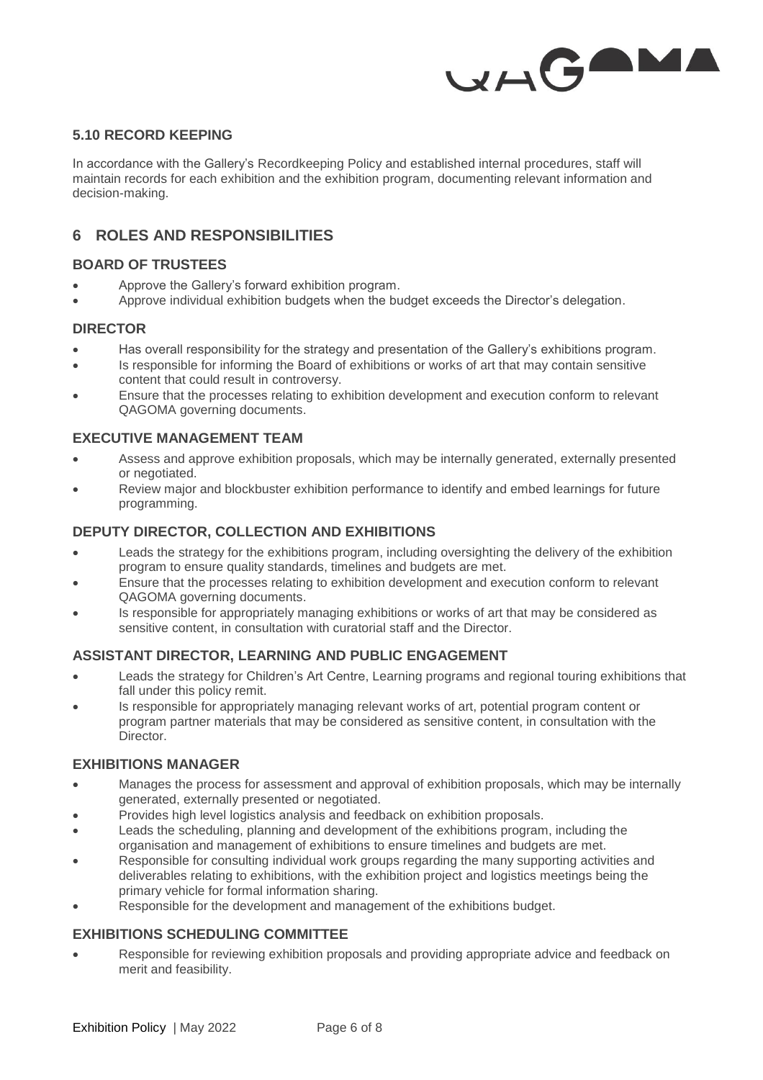

## **5.10 RECORD KEEPING**

In accordance with the Gallery's Recordkeeping Policy and established internal procedures, staff will maintain records for each exhibition and the exhibition program, documenting relevant information and decision-making.

## **6 ROLES AND RESPONSIBILITIES**

#### **BOARD OF TRUSTEES**

- Approve the Gallery's forward exhibition program.
- Approve individual exhibition budgets when the budget exceeds the Director's delegation.

#### **DIRECTOR**

- Has overall responsibility for the strategy and presentation of the Gallery's exhibitions program.
- Is responsible for informing the Board of exhibitions or works of art that may contain sensitive content that could result in controversy.
- Ensure that the processes relating to exhibition development and execution conform to relevant QAGOMA governing documents.

#### **EXECUTIVE MANAGEMENT TEAM**

- Assess and approve exhibition proposals, which may be internally generated, externally presented or negotiated.
- Review major and blockbuster exhibition performance to identify and embed learnings for future programming.

## **DEPUTY DIRECTOR, COLLECTION AND EXHIBITIONS**

- Leads the strategy for the exhibitions program, including oversighting the delivery of the exhibition program to ensure quality standards, timelines and budgets are met.
- Ensure that the processes relating to exhibition development and execution conform to relevant QAGOMA governing documents.
- Is responsible for appropriately managing exhibitions or works of art that may be considered as sensitive content, in consultation with curatorial staff and the Director.

#### **ASSISTANT DIRECTOR, LEARNING AND PUBLIC ENGAGEMENT**

- Leads the strategy for Children's Art Centre, Learning programs and regional touring exhibitions that fall under this policy remit.
- Is responsible for appropriately managing relevant works of art, potential program content or program partner materials that may be considered as sensitive content, in consultation with the Director.

#### **EXHIBITIONS MANAGER**

- Manages the process for assessment and approval of exhibition proposals, which may be internally generated, externally presented or negotiated.
- Provides high level logistics analysis and feedback on exhibition proposals.
- Leads the scheduling, planning and development of the exhibitions program, including the organisation and management of exhibitions to ensure timelines and budgets are met.
- Responsible for consulting individual work groups regarding the many supporting activities and deliverables relating to exhibitions, with the exhibition project and logistics meetings being the primary vehicle for formal information sharing.
- Responsible for the development and management of the exhibitions budget.

## **EXHIBITIONS SCHEDULING COMMITTEE**

 Responsible for reviewing exhibition proposals and providing appropriate advice and feedback on merit and feasibility.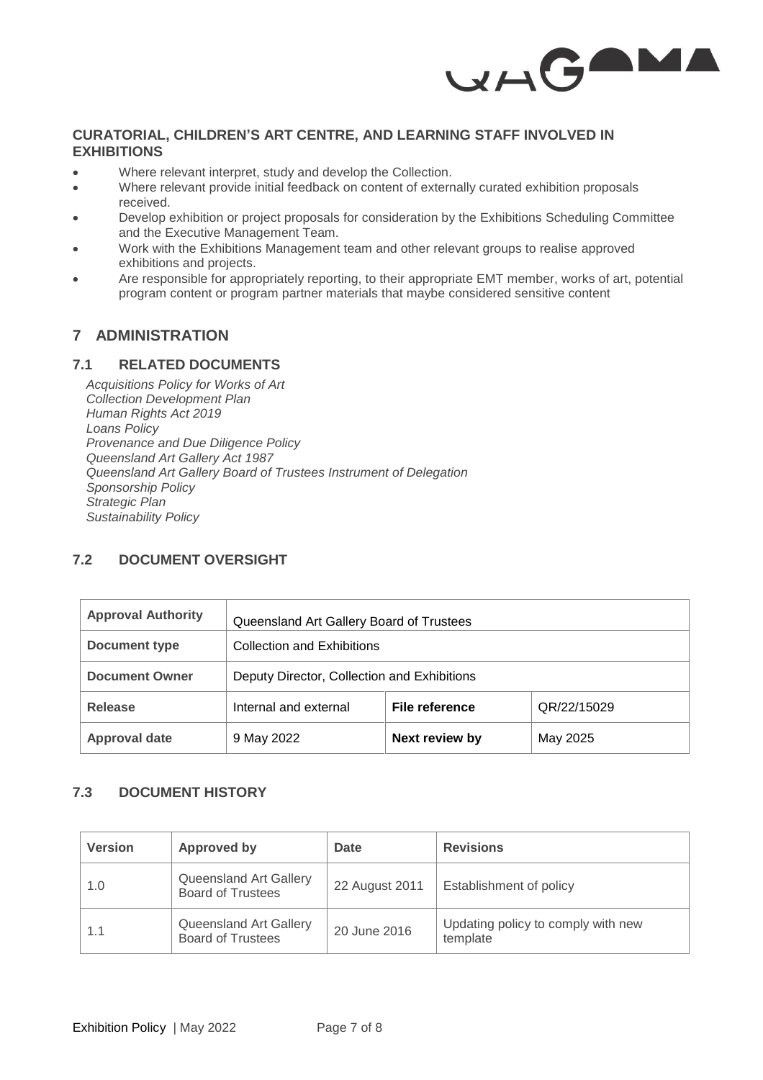

## **CURATORIAL, CHILDREN'S ART CENTRE, AND LEARNING STAFF INVOLVED IN EXHIBITIONS**

- Where relevant interpret, study and develop the Collection.
- Where relevant provide initial feedback on content of externally curated exhibition proposals received.
- Develop exhibition or project proposals for consideration by the Exhibitions Scheduling Committee and the Executive Management Team.
- Work with the Exhibitions Management team and other relevant groups to realise approved exhibitions and projects.
- Are responsible for appropriately reporting, to their appropriate EMT member, works of art, potential program content or program partner materials that maybe considered sensitive content

# **7 ADMINISTRATION**

#### **7.1 RELATED DOCUMENTS**

*Acquisitions Policy for Works of Art Collection Development Plan Human Rights Act 2019 Loans Policy Provenance and Due Diligence Policy Queensland Art Gallery Act 1987 Queensland Art Gallery Board of Trustees Instrument of Delegation Sponsorship Policy Strategic Plan Sustainability Policy*

# **7.2 DOCUMENT OVERSIGHT**

| <b>Approval Authority</b> | Queensland Art Gallery Board of Trustees    |                |             |  |
|---------------------------|---------------------------------------------|----------------|-------------|--|
| <b>Document type</b>      | <b>Collection and Exhibitions</b>           |                |             |  |
| <b>Document Owner</b>     | Deputy Director, Collection and Exhibitions |                |             |  |
| Release                   | Internal and external                       | File reference | QR/22/15029 |  |
| <b>Approval date</b>      | 9 May 2022                                  | Next review by | May 2025    |  |

## **7.3 DOCUMENT HISTORY**

| <b>Version</b> | Approved by                                        | <b>Date</b>    | <b>Revisions</b>                               |
|----------------|----------------------------------------------------|----------------|------------------------------------------------|
| 1.0            | Queensland Art Gallery<br><b>Board of Trustees</b> | 22 August 2011 | Establishment of policy                        |
| 1.1            | Queensland Art Gallery<br><b>Board of Trustees</b> | 20 June 2016   | Updating policy to comply with new<br>template |